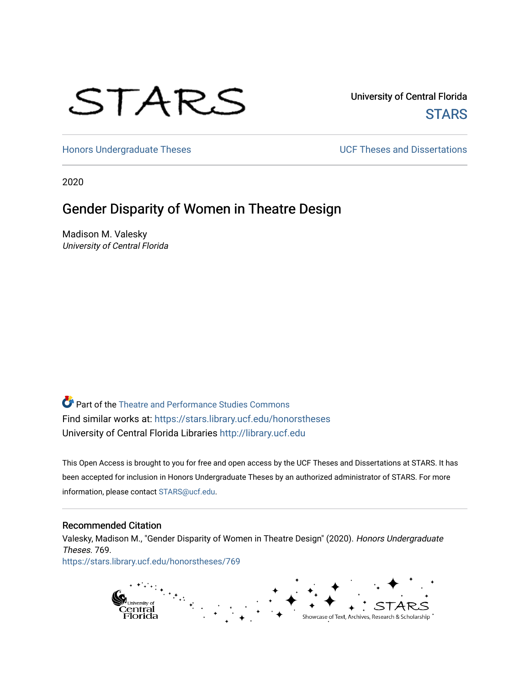# STARS

University of Central Florida **STARS** 

[Honors Undergraduate Theses](https://stars.library.ucf.edu/honorstheses) **Exercise 2 and Serverse** UCF Theses and Dissertations

2020

# Gender Disparity of Women in Theatre Design

Madison M. Valesky University of Central Florida

Part of the [Theatre and Performance Studies Commons](http://network.bepress.com/hgg/discipline/552?utm_source=stars.library.ucf.edu%2Fhonorstheses%2F769&utm_medium=PDF&utm_campaign=PDFCoverPages)  Find similar works at: <https://stars.library.ucf.edu/honorstheses> University of Central Florida Libraries [http://library.ucf.edu](http://library.ucf.edu/) 

This Open Access is brought to you for free and open access by the UCF Theses and Dissertations at STARS. It has been accepted for inclusion in Honors Undergraduate Theses by an authorized administrator of STARS. For more information, please contact [STARS@ucf.edu.](mailto:STARS@ucf.edu)

#### Recommended Citation

Valesky, Madison M., "Gender Disparity of Women in Theatre Design" (2020). Honors Undergraduate Theses. 769. [https://stars.library.ucf.edu/honorstheses/769](https://stars.library.ucf.edu/honorstheses/769?utm_source=stars.library.ucf.edu%2Fhonorstheses%2F769&utm_medium=PDF&utm_campaign=PDFCoverPages) 

> pi<sub>University of</sub><br>Central<br>Florida Showcase of Text, Archives, Research & Scholarship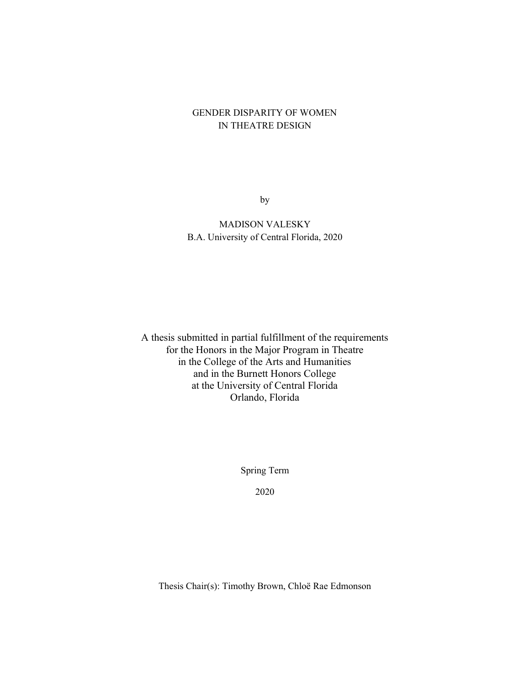# GENDER DISPARITY OF WOMEN IN THEATRE DESIGN

by

MADISON VALESKY B.A. University of Central Florida, 2020

A thesis submitted in partial fulfillment of the requirements for the Honors in the Major Program in Theatre in the College of the Arts and Humanities and in the Burnett Honors College at the University of Central Florida Orlando, Florida

Spring Term

2020

Thesis Chair(s): Timothy Brown, Chloë Rae Edmonson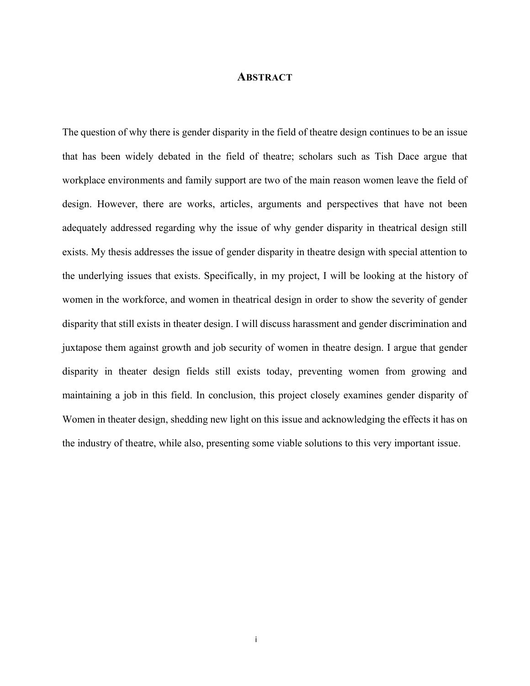# **ABSTRACT**

The question of why there is gender disparity in the field of theatre design continues to be an issue that has been widely debated in the field of theatre; scholars such as Tish Dace argue that workplace environments and family support are two of the main reason women leave the field of design. However, there are works, articles, arguments and perspectives that have not been adequately addressed regarding why the issue of why gender disparity in theatrical design still exists. My thesis addresses the issue of gender disparity in theatre design with special attention to the underlying issues that exists. Specifically, in my project, I will be looking at the history of women in the workforce, and women in theatrical design in order to show the severity of gender disparity that still exists in theater design. I will discuss harassment and gender discrimination and juxtapose them against growth and job security of women in theatre design. I argue that gender disparity in theater design fields still exists today, preventing women from growing and maintaining a job in this field. In conclusion, this project closely examines gender disparity of Women in theater design, shedding new light on this issue and acknowledging the effects it has on the industry of theatre, while also, presenting some viable solutions to this very important issue.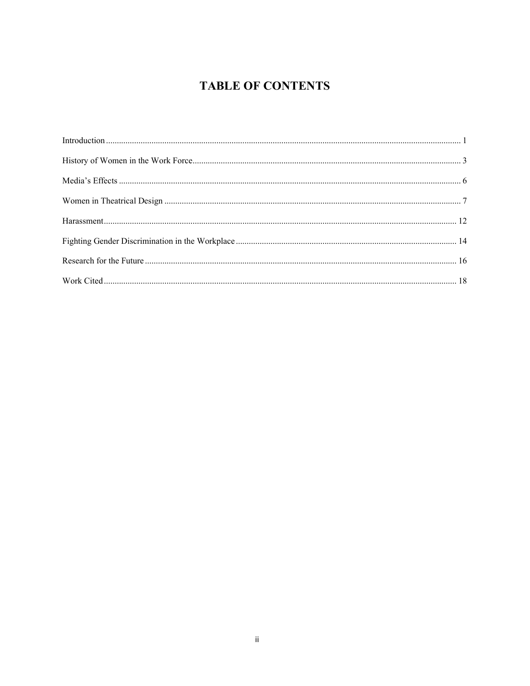# **TABLE OF CONTENTS**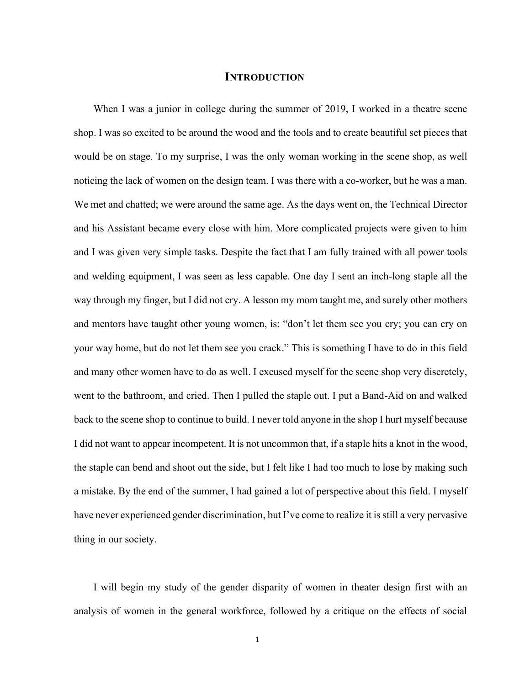# **INTRODUCTION**

<span id="page-4-0"></span>When I was a junior in college during the summer of 2019, I worked in a theatre scene shop. I was so excited to be around the wood and the tools and to create beautiful set pieces that would be on stage. To my surprise, I was the only woman working in the scene shop, as well noticing the lack of women on the design team. I was there with a co-worker, but he was a man. We met and chatted; we were around the same age. As the days went on, the Technical Director and his Assistant became every close with him. More complicated projects were given to him and I was given very simple tasks. Despite the fact that I am fully trained with all power tools and welding equipment, I was seen as less capable. One day I sent an inch-long staple all the way through my finger, but I did not cry. A lesson my mom taught me, and surely other mothers and mentors have taught other young women, is: "don't let them see you cry; you can cry on your way home, but do not let them see you crack." This is something I have to do in this field and many other women have to do as well. I excused myself for the scene shop very discretely, went to the bathroom, and cried. Then I pulled the staple out. I put a Band-Aid on and walked back to the scene shop to continue to build. I never told anyone in the shop I hurt myself because I did not want to appear incompetent. It is not uncommon that, if a staple hits a knot in the wood, the staple can bend and shoot out the side, but I felt like I had too much to lose by making such a mistake. By the end of the summer, I had gained a lot of perspective about this field. I myself have never experienced gender discrimination, but I've come to realize it is still a very pervasive thing in our society.

I will begin my study of the gender disparity of women in theater design first with an analysis of women in the general workforce, followed by a critique on the effects of social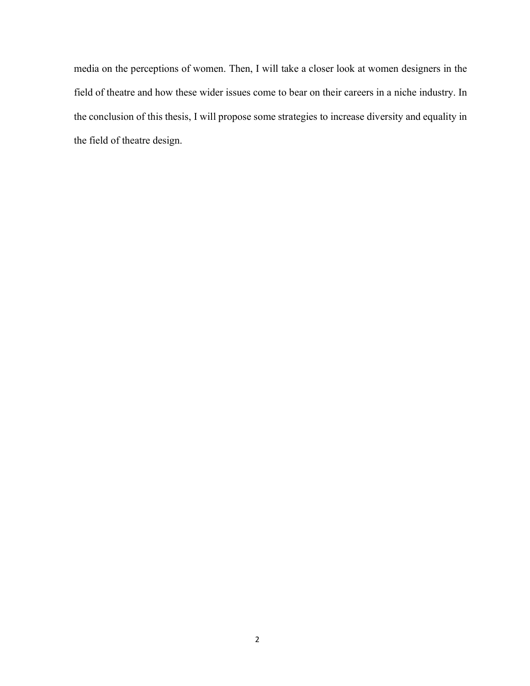media on the perceptions of women. Then, I will take a closer look at women designers in the field of theatre and how these wider issues come to bear on their careers in a niche industry. In the conclusion of this thesis, I will propose some strategies to increase diversity and equality in the field of theatre design.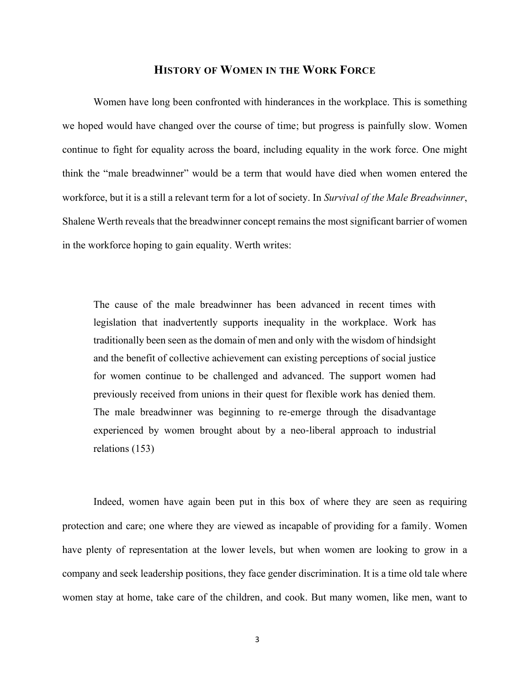# **HISTORY OF WOMEN IN THE WORK FORCE**

<span id="page-6-0"></span>Women have long been confronted with hinderances in the workplace. This is something we hoped would have changed over the course of time; but progress is painfully slow. Women continue to fight for equality across the board, including equality in the work force. One might think the "male breadwinner" would be a term that would have died when women entered the workforce, but it is a still a relevant term for a lot of society. In *Survival of the Male Breadwinner*, Shalene Werth reveals that the breadwinner concept remains the most significant barrier of women in the workforce hoping to gain equality. Werth writes:

The cause of the male breadwinner has been advanced in recent times with legislation that inadvertently supports inequality in the workplace. Work has traditionally been seen as the domain of men and only with the wisdom of hindsight and the benefit of collective achievement can existing perceptions of social justice for women continue to be challenged and advanced. The support women had previously received from unions in their quest for flexible work has denied them. The male breadwinner was beginning to re-emerge through the disadvantage experienced by women brought about by a neo‐liberal approach to industrial relations (153)

Indeed, women have again been put in this box of where they are seen as requiring protection and care; one where they are viewed as incapable of providing for a family. Women have plenty of representation at the lower levels, but when women are looking to grow in a company and seek leadership positions, they face gender discrimination. It is a time old tale where women stay at home, take care of the children, and cook. But many women, like men, want to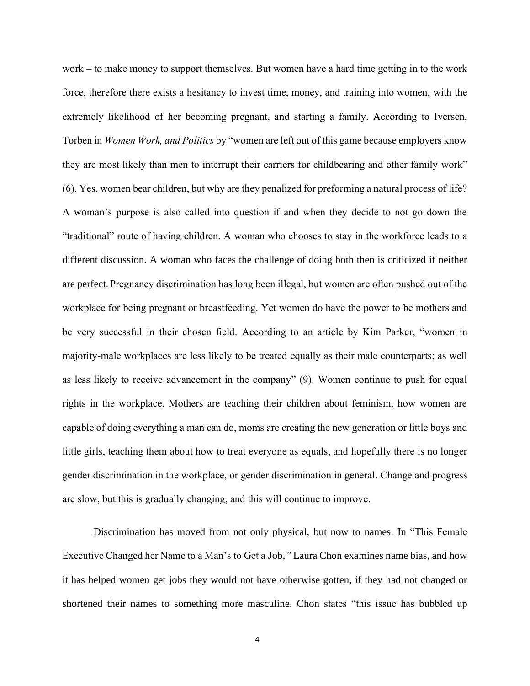work – to make money to support themselves. But women have a hard time getting in to the work force, therefore there exists a hesitancy to invest time, money, and training into women, with the extremely likelihood of her becoming pregnant, and starting a family. According to Iversen, Torben in *Women Work, and Politics* by "women are left out of this game because employers know they are most likely than men to interrupt their carriers for childbearing and other family work" (6). Yes, women bear children, but why are they penalized for preforming a natural process of life? A woman's purpose is also called into question if and when they decide to not go down the "traditional" route of having children. A woman who chooses to stay in the workforce leads to a different discussion. A woman who faces the challenge of doing both then is criticized if neither are perfect. Pregnancy discrimination has long been illegal, but women are often pushed out of the workplace for being pregnant or breastfeeding. Yet women do have the power to be mothers and be very successful in their chosen field. According to an article by Kim Parker, "women in majority-male workplaces are less likely to be treated equally as their male counterparts; as well as less likely to receive advancement in the company" (9). Women continue to push for equal rights in the workplace. Mothers are teaching their children about feminism, how women are capable of doing everything a man can do, moms are creating the new generation or little boys and little girls, teaching them about how to treat everyone as equals, and hopefully there is no longer gender discrimination in the workplace, or gender discrimination in general. Change and progress are slow, but this is gradually changing, and this will continue to improve.

Discrimination has moved from not only physical, but now to names. In "This Female Executive Changed her Name to a Man's to Get a Job,*"* Laura Chon examines name bias, and how it has helped women get jobs they would not have otherwise gotten, if they had not changed or shortened their names to something more masculine. Chon states "this issue has bubbled up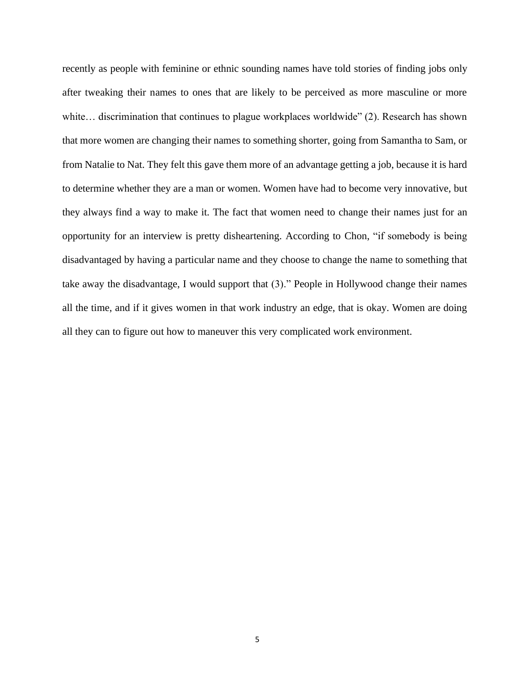recently as people with feminine or ethnic sounding names have told stories of finding jobs only after tweaking their names to ones that are likely to be perceived as more masculine or more white… discrimination that continues to plague workplaces worldwide" (2). Research has shown that more women are changing their names to something shorter, going from Samantha to Sam, or from Natalie to Nat. They felt this gave them more of an advantage getting a job, because it is hard to determine whether they are a man or women. Women have had to become very innovative, but they always find a way to make it. The fact that women need to change their names just for an opportunity for an interview is pretty disheartening. According to Chon, "if somebody is being disadvantaged by having a particular name and they choose to change the name to something that take away the disadvantage, I would support that (3)." People in Hollywood change their names all the time, and if it gives women in that work industry an edge, that is okay. Women are doing all they can to figure out how to maneuver this very complicated work environment.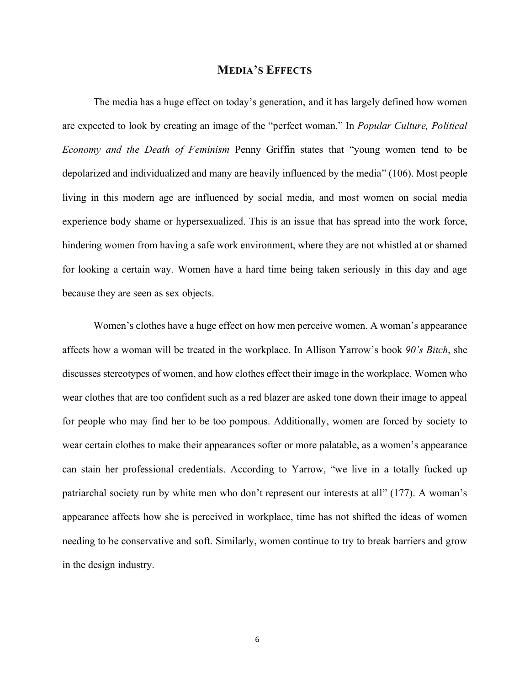# **MEDIA'S EFFECTS**

<span id="page-9-0"></span>The media has a huge effect on today's generation, and it has largely defined how women are expected to look by creating an image of the "perfect woman." In *Popular Culture, Political Economy and the Death of Feminism* Penny Griffin states that "young women tend to be depolarized and individualized and many are heavily influenced by the media" (106). Most people living in this modern age are influenced by social media, and most women on social media experience body shame or hypersexualized. This is an issue that has spread into the work force, hindering women from having a safe work environment, where they are not whistled at or shamed for looking a certain way. Women have a hard time being taken seriously in this day and age because they are seen as sex objects.

Women's clothes have a huge effect on how men perceive women. A woman's appearance affects how a woman will be treated in the workplace. In Allison Yarrow's book *90's Bitch*, she discusses stereotypes of women, and how clothes effect their image in the workplace. Women who wear clothes that are too confident such as a red blazer are asked tone down their image to appeal for people who may find her to be too pompous. Additionally, women are forced by society to wear certain clothes to make their appearances softer or more palatable, as a women's appearance can stain her professional credentials. According to Yarrow, "we live in a totally fucked up patriarchal society run by white men who don't represent our interests at all" (177). A woman's appearance affects how she is perceived in workplace, time has not shifted the ideas of women needing to be conservative and soft. Similarly, women continue to try to break barriers and grow in the design industry.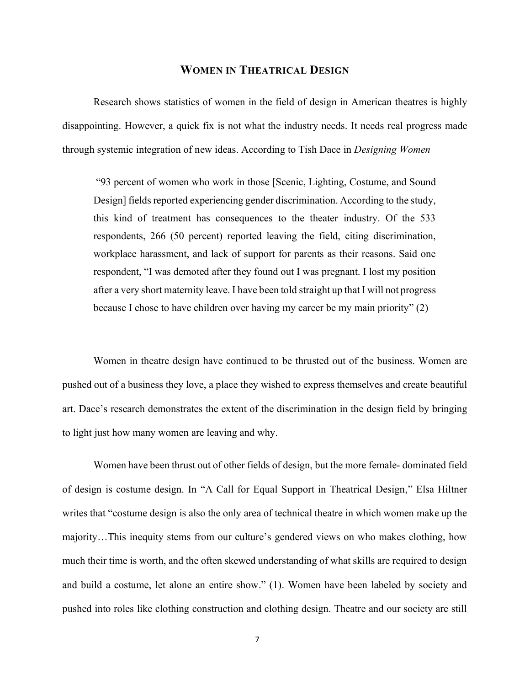## **WOMEN IN THEATRICAL DESIGN**

<span id="page-10-0"></span>Research shows statistics of women in the field of design in American theatres is highly disappointing. However, a quick fix is not what the industry needs. It needs real progress made through systemic integration of new ideas. According to Tish Dace in *Designing Women*

"93 percent of women who work in those [Scenic, Lighting, Costume, and Sound Design] fields reported experiencing gender discrimination. According to the study, this kind of treatment has consequences to the theater industry. Of the 533 respondents, 266 (50 percent) reported leaving the field, citing discrimination, workplace harassment, and lack of support for parents as their reasons. Said one respondent, "I was demoted after they found out I was pregnant. I lost my position after a very short maternity leave. I have been told straight up that I will not progress because I chose to have children over having my career be my main priority" (2)

Women in theatre design have continued to be thrusted out of the business. Women are pushed out of a business they love, a place they wished to express themselves and create beautiful art. Dace's research demonstrates the extent of the discrimination in the design field by bringing to light just how many women are leaving and why.

Women have been thrust out of other fields of design, but the more female- dominated field of design is costume design. In "A Call for Equal Support in Theatrical Design," Elsa Hiltner writes that "costume design is also the only area of technical theatre in which women make up the majority…This inequity stems from our culture's gendered views on who makes clothing, how much their time is worth, and the often skewed understanding of what skills are required to design and build a costume, let alone an entire show." (1). Women have been labeled by society and pushed into roles like clothing construction and clothing design. Theatre and our society are still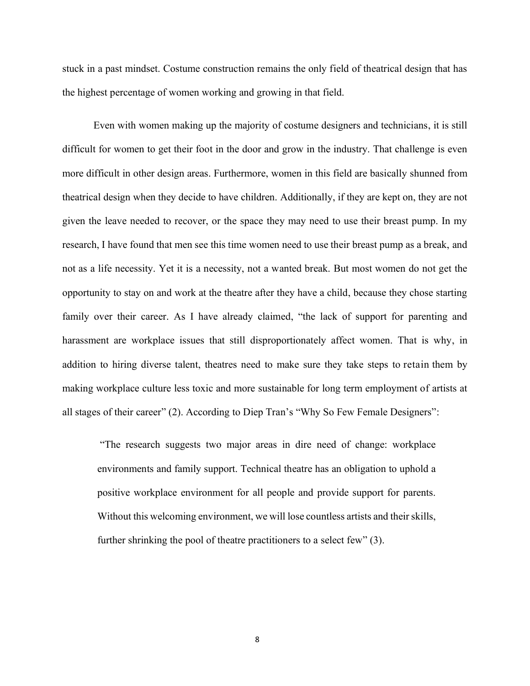stuck in a past mindset. Costume construction remains the only field of theatrical design that has the highest percentage of women working and growing in that field.

Even with women making up the majority of costume designers and technicians, it is still difficult for women to get their foot in the door and grow in the industry. That challenge is even more difficult in other design areas. Furthermore, women in this field are basically shunned from theatrical design when they decide to have children. Additionally, if they are kept on, they are not given the leave needed to recover, or the space they may need to use their breast pump. In my research, I have found that men see this time women need to use their breast pump as a break, and not as a life necessity. Yet it is a necessity, not a wanted break. But most women do not get the opportunity to stay on and work at the theatre after they have a child, because they chose starting family over their career. As I have already claimed, "the lack of support for parenting and harassment are workplace issues that still disproportionately affect women. That is why, in addition to hiring diverse talent, theatres need to make sure they take steps to retain them by making workplace culture less toxic and more sustainable for long term employment of artists at all stages of their career" (2). According to Diep Tran's "Why So Few Female Designers":

"The research suggests two major areas in dire need of change: workplace environments and family support. Technical theatre has an obligation to uphold a positive workplace environment for all people and provide support for parents. Without this welcoming environment, we will lose countless artists and their skills, further shrinking the pool of theatre practitioners to a select few" (3).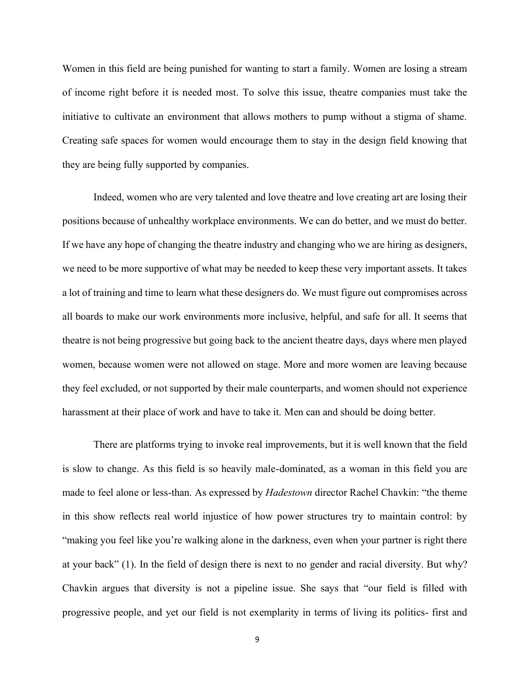Women in this field are being punished for wanting to start a family. Women are losing a stream of income right before it is needed most. To solve this issue, theatre companies must take the initiative to cultivate an environment that allows mothers to pump without a stigma of shame. Creating safe spaces for women would encourage them to stay in the design field knowing that they are being fully supported by companies.

Indeed, women who are very talented and love theatre and love creating art are losing their positions because of unhealthy workplace environments. We can do better, and we must do better. If we have any hope of changing the theatre industry and changing who we are hiring as designers, we need to be more supportive of what may be needed to keep these very important assets. It takes a lot of training and time to learn what these designers do. We must figure out compromises across all boards to make our work environments more inclusive, helpful, and safe for all. It seems that theatre is not being progressive but going back to the ancient theatre days, days where men played women, because women were not allowed on stage. More and more women are leaving because they feel excluded, or not supported by their male counterparts, and women should not experience harassment at their place of work and have to take it. Men can and should be doing better.

There are platforms trying to invoke real improvements, but it is well known that the field is slow to change. As this field is so heavily male-dominated, as a woman in this field you are made to feel alone or less-than. As expressed by *Hadestown* director Rachel Chavkin: "the theme in this show reflects real world injustice of how power structures try to maintain control: by "making you feel like you're walking alone in the darkness, even when your partner is right there at your back" (1). In the field of design there is next to no gender and racial diversity. But why? Chavkin argues that diversity is not a pipeline issue. She says that "our field is filled with progressive people, and yet our field is not exemplarity in terms of living its politics- first and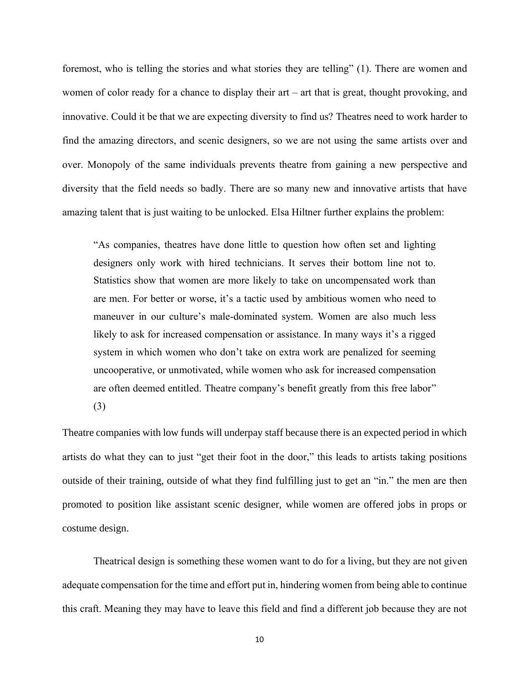foremost, who is telling the stories and what stories they are telling" (1). There are women and women of color ready for a chance to display their art – art that is great, thought provoking, and innovative. Could it be that we are expecting diversity to find us? Theatres need to work harder to find the amazing directors, and scenic designers, so we are not using the same artists over and over. Monopoly of the same individuals prevents theatre from gaining a new perspective and diversity that the field needs so badly. There are so many new and innovative artists that have amazing talent that is just waiting to be unlocked. Elsa Hiltner further explains the problem:

"As companies, theatres have done little to question how often set and lighting designers only work with hired technicians. It serves their bottom line not to. Statistics show that women are more likely to take on uncompensated work than are men. For better or worse, it's a tactic used by ambitious women who need to maneuver in our culture's male-dominated system. Women are also much less likely to ask for increased compensation or assistance. In many ways it's a rigged system in which women who don't take on extra work are penalized for seeming uncooperative, or unmotivated, while women who ask for increased compensation are often deemed entitled. Theatre company's benefit greatly from this free labor" (3)

Theatre companies with low funds will underpay staff because there is an expected period in which artists do what they can to just "get their foot in the door," this leads to artists taking positions outside of their training, outside of what they find fulfilling just to get an "in." the men are then promoted to position like assistant scenic designer, while women are offered jobs in props or costume design.

Theatrical design is something these women want to do for a living, but they are not given adequate compensation for the time and effort put in, hindering women from being able to continue this craft. Meaning they may have to leave this field and find a different job because they are not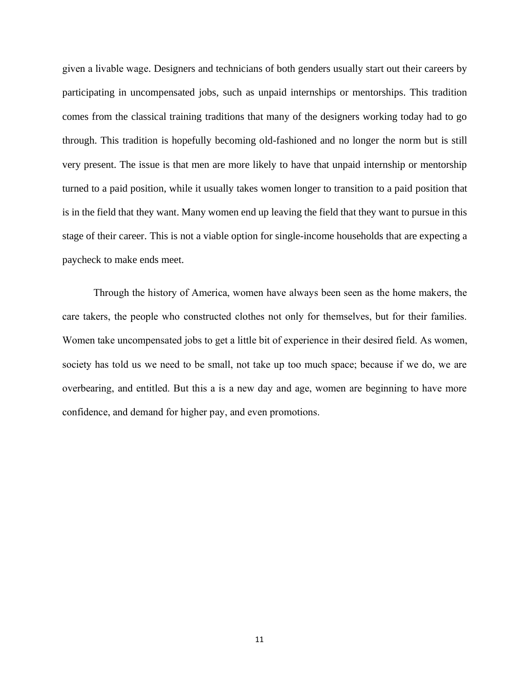given a livable wage. Designers and technicians of both genders usually start out their careers by participating in uncompensated jobs, such as unpaid internships or mentorships. This tradition comes from the classical training traditions that many of the designers working today had to go through. This tradition is hopefully becoming old-fashioned and no longer the norm but is still very present. The issue is that men are more likely to have that unpaid internship or mentorship turned to a paid position, while it usually takes women longer to transition to a paid position that is in the field that they want. Many women end up leaving the field that they want to pursue in this stage of their career. This is not a viable option for single-income households that are expecting a paycheck to make ends meet.

Through the history of America, women have always been seen as the home makers, the care takers, the people who constructed clothes not only for themselves, but for their families. Women take uncompensated jobs to get a little bit of experience in their desired field. As women, society has told us we need to be small, not take up too much space; because if we do, we are overbearing, and entitled. But this a is a new day and age, women are beginning to have more confidence, and demand for higher pay, and even promotions.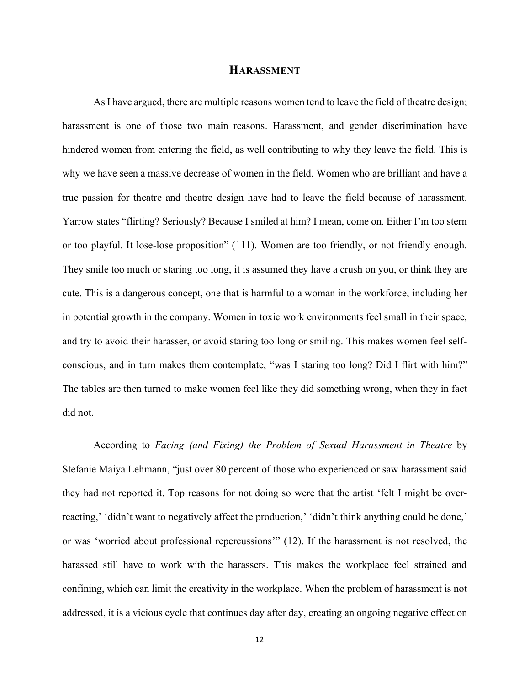# **HARASSMENT**

<span id="page-15-0"></span>As I have argued, there are multiple reasons women tend to leave the field of theatre design; harassment is one of those two main reasons. Harassment, and gender discrimination have hindered women from entering the field, as well contributing to why they leave the field. This is why we have seen a massive decrease of women in the field. Women who are brilliant and have a true passion for theatre and theatre design have had to leave the field because of harassment. Yarrow states "flirting? Seriously? Because I smiled at him? I mean, come on. Either I'm too stern or too playful. It lose-lose proposition" (111). Women are too friendly, or not friendly enough. They smile too much or staring too long, it is assumed they have a crush on you, or think they are cute. This is a dangerous concept, one that is harmful to a woman in the workforce, including her in potential growth in the company. Women in toxic work environments feel small in their space, and try to avoid their harasser, or avoid staring too long or smiling. This makes women feel selfconscious, and in turn makes them contemplate, "was I staring too long? Did I flirt with him?" The tables are then turned to make women feel like they did something wrong, when they in fact did not.

According to *Facing (and Fixing) the Problem of Sexual Harassment in Theatre* by Stefanie Maiya Lehmann, "just over 80 percent of those who experienced or saw harassment said they had not reported it. Top reasons for not doing so were that the artist 'felt I might be overreacting,' 'didn't want to negatively affect the production,' 'didn't think anything could be done,' or was 'worried about professional repercussions'" (12). If the harassment is not resolved, the harassed still have to work with the harassers. This makes the workplace feel strained and confining, which can limit the creativity in the workplace. When the problem of harassment is not addressed, it is a vicious cycle that continues day after day, creating an ongoing negative effect on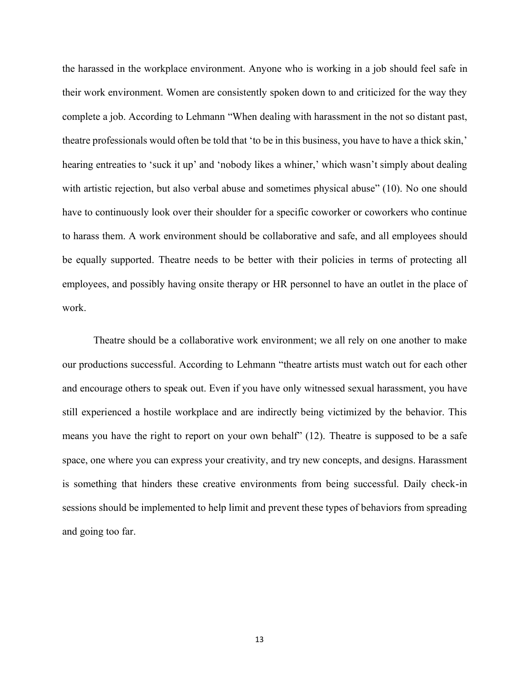the harassed in the workplace environment. Anyone who is working in a job should feel safe in their work environment. Women are consistently spoken down to and criticized for the way they complete a job. According to Lehmann "When dealing with harassment in the not so distant past, theatre professionals would often be told that 'to be in this business, you have to have a thick skin,' hearing entreaties to 'suck it up' and 'nobody likes a whiner,' which wasn't simply about dealing with artistic rejection, but also verbal abuse and sometimes physical abuse" (10). No one should have to continuously look over their shoulder for a specific coworker or coworkers who continue to harass them. A work environment should be collaborative and safe, and all employees should be equally supported. Theatre needs to be better with their policies in terms of protecting all employees, and possibly having onsite therapy or HR personnel to have an outlet in the place of work.

Theatre should be a collaborative work environment; we all rely on one another to make our productions successful. According to Lehmann "theatre artists must watch out for each other and encourage others to speak out. Even if you have only witnessed sexual harassment, you have still experienced a hostile workplace and are indirectly being victimized by the behavior. This means you have the right to report on your own behalf" (12). Theatre is supposed to be a safe space, one where you can express your creativity, and try new concepts, and designs. Harassment is something that hinders these creative environments from being successful. Daily check-in sessions should be implemented to help limit and prevent these types of behaviors from spreading and going too far.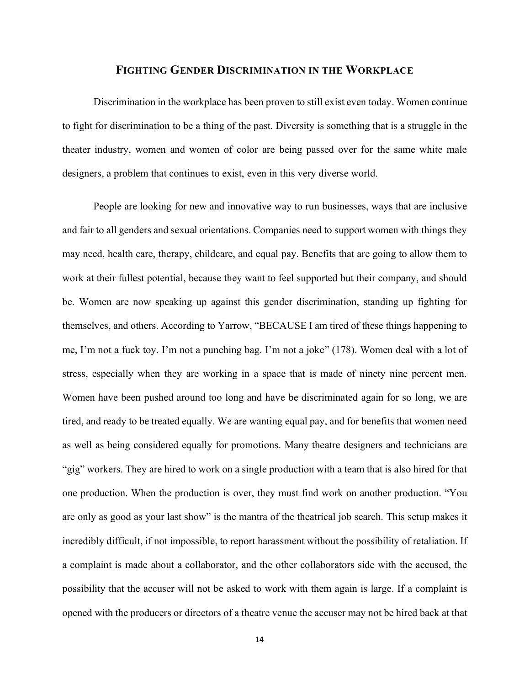### **FIGHTING GENDER DISCRIMINATION IN THE WORKPLACE**

<span id="page-17-0"></span>Discrimination in the workplace has been proven to still exist even today. Women continue to fight for discrimination to be a thing of the past. Diversity is something that is a struggle in the theater industry, women and women of color are being passed over for the same white male designers, a problem that continues to exist, even in this very diverse world.

People are looking for new and innovative way to run businesses, ways that are inclusive and fair to all genders and sexual orientations. Companies need to support women with things they may need, health care, therapy, childcare, and equal pay. Benefits that are going to allow them to work at their fullest potential, because they want to feel supported but their company, and should be. Women are now speaking up against this gender discrimination, standing up fighting for themselves, and others. According to Yarrow, "BECAUSE I am tired of these things happening to me, I'm not a fuck toy. I'm not a punching bag. I'm not a joke" (178). Women deal with a lot of stress, especially when they are working in a space that is made of ninety nine percent men. Women have been pushed around too long and have be discriminated again for so long, we are tired, and ready to be treated equally. We are wanting equal pay, and for benefits that women need as well as being considered equally for promotions. Many theatre designers and technicians are "gig" workers. They are hired to work on a single production with a team that is also hired for that one production. When the production is over, they must find work on another production. "You are only as good as your last show" is the mantra of the theatrical job search. This setup makes it incredibly difficult, if not impossible, to report harassment without the possibility of retaliation. If a complaint is made about a collaborator, and the other collaborators side with the accused, the possibility that the accuser will not be asked to work with them again is large. If a complaint is opened with the producers or directors of a theatre venue the accuser may not be hired back at that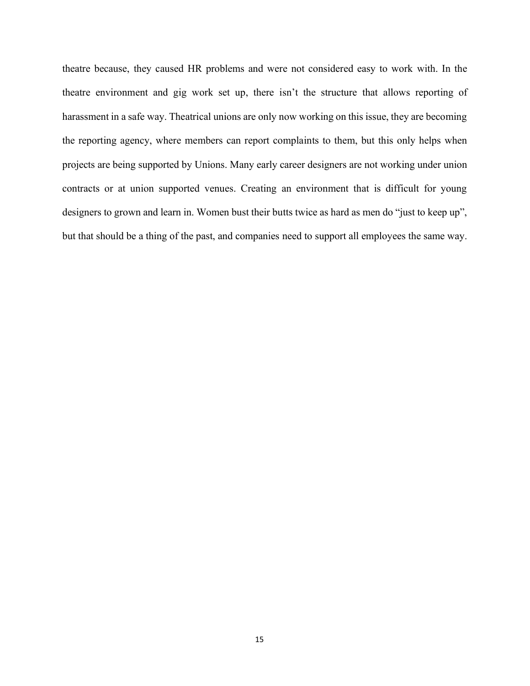theatre because, they caused HR problems and were not considered easy to work with. In the theatre environment and gig work set up, there isn't the structure that allows reporting of harassment in a safe way. Theatrical unions are only now working on this issue, they are becoming the reporting agency, where members can report complaints to them, but this only helps when projects are being supported by Unions. Many early career designers are not working under union contracts or at union supported venues. Creating an environment that is difficult for young designers to grown and learn in. Women bust their butts twice as hard as men do "just to keep up", but that should be a thing of the past, and companies need to support all employees the same way.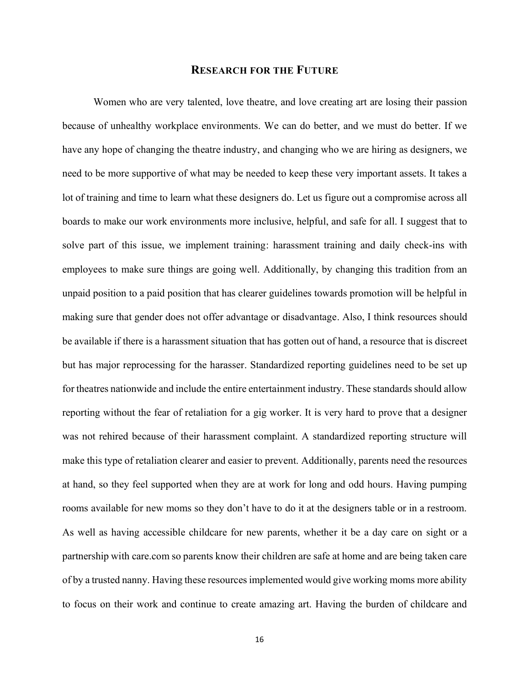### **RESEARCH FOR THE FUTURE**

<span id="page-19-0"></span>Women who are very talented, love theatre, and love creating art are losing their passion because of unhealthy workplace environments. We can do better, and we must do better. If we have any hope of changing the theatre industry, and changing who we are hiring as designers, we need to be more supportive of what may be needed to keep these very important assets. It takes a lot of training and time to learn what these designers do. Let us figure out a compromise across all boards to make our work environments more inclusive, helpful, and safe for all. I suggest that to solve part of this issue, we implement training: harassment training and daily check-ins with employees to make sure things are going well. Additionally, by changing this tradition from an unpaid position to a paid position that has clearer guidelines towards promotion will be helpful in making sure that gender does not offer advantage or disadvantage. Also, I think resources should be available if there is a harassment situation that has gotten out of hand, a resource that is discreet but has major reprocessing for the harasser. Standardized reporting guidelines need to be set up for theatres nationwide and include the entire entertainment industry. These standards should allow reporting without the fear of retaliation for a gig worker. It is very hard to prove that a designer was not rehired because of their harassment complaint. A standardized reporting structure will make this type of retaliation clearer and easier to prevent. Additionally, parents need the resources at hand, so they feel supported when they are at work for long and odd hours. Having pumping rooms available for new moms so they don't have to do it at the designers table or in a restroom. As well as having accessible childcare for new parents, whether it be a day care on sight or a partnership with care.com so parents know their children are safe at home and are being taken care of by a trusted nanny. Having these resources implemented would give working moms more ability to focus on their work and continue to create amazing art. Having the burden of childcare and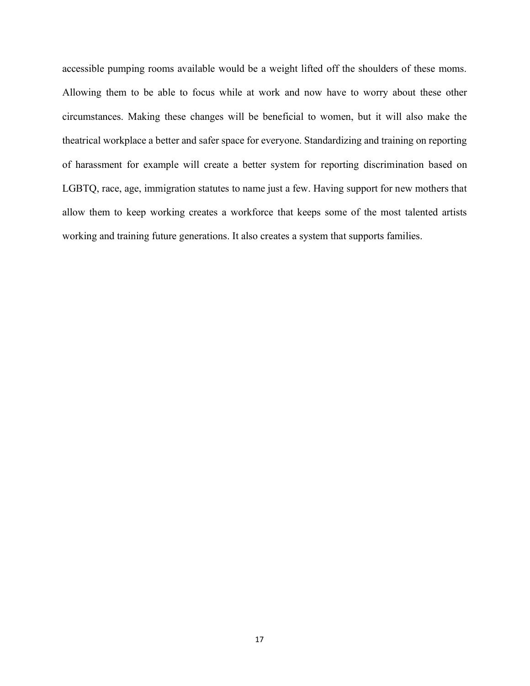accessible pumping rooms available would be a weight lifted off the shoulders of these moms. Allowing them to be able to focus while at work and now have to worry about these other circumstances. Making these changes will be beneficial to women, but it will also make the theatrical workplace a better and safer space for everyone. Standardizing and training on reporting of harassment for example will create a better system for reporting discrimination based on LGBTQ, race, age, immigration statutes to name just a few. Having support for new mothers that allow them to keep working creates a workforce that keeps some of the most talented artists working and training future generations. It also creates a system that supports families.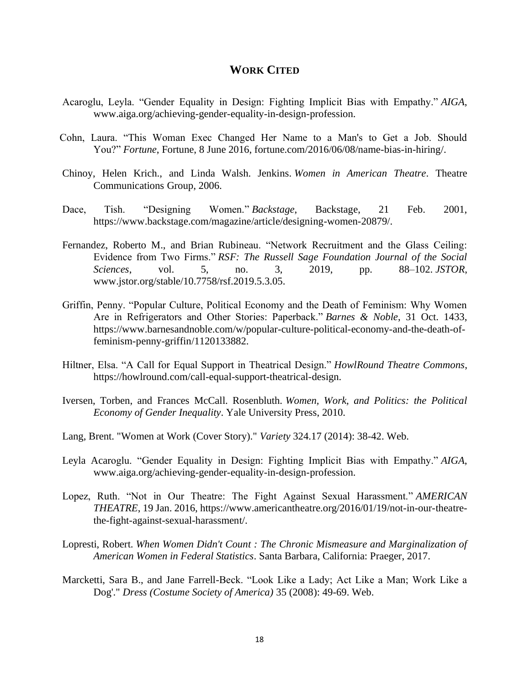## **WORK CITED**

- <span id="page-21-0"></span>Acaroglu, Leyla. "Gender Equality in Design: Fighting Implicit Bias with Empathy." *AIGA*, www.aiga.org/achieving-gender-equality-in-design-profession.
- Cohn, Laura. "This Woman Exec Changed Her Name to a Man's to Get a Job. Should You?" *Fortune*, Fortune, 8 June 2016, fortune.com/2016/06/08/name-bias-in-hiring/.
- Chinoy, Helen Krich., and Linda Walsh. Jenkins. *Women in American Theatre*. Theatre Communications Group, 2006.
- Dace, Tish. "Designing Women." *Backstage*, Backstage, 21 Feb. 2001, https://www.backstage.com/magazine/article/designing-women-20879/.
- Fernandez, Roberto M., and Brian Rubineau. "Network Recruitment and the Glass Ceiling: Evidence from Two Firms." *RSF: The Russell Sage Foundation Journal of the Social Sciences*, vol. 5, no. 3, 2019, pp. 88–102. *JSTOR*, www.jstor.org/stable/10.7758/rsf.2019.5.3.05.
- Griffin, Penny. "Popular Culture, Political Economy and the Death of Feminism: Why Women Are in Refrigerators and Other Stories: Paperback." *Barnes & Noble*, 31 Oct. 1433, https://www.barnesandnoble.com/w/popular-culture-political-economy-and-the-death-offeminism-penny-griffin/1120133882.
- Hiltner, Elsa. "A Call for Equal Support in Theatrical Design." *HowlRound Theatre Commons*, https://howlround.com/call-equal-support-theatrical-design.
- Iversen, Torben, and Frances McCall. Rosenbluth. *Women, Work, and Politics: the Political Economy of Gender Inequality*. Yale University Press, 2010.
- Lang, Brent. "Women at Work (Cover Story)." *Variety* 324.17 (2014): 38-42. Web.
- Leyla Acaroglu. "Gender Equality in Design: Fighting Implicit Bias with Empathy." *AIGA*, www.aiga.org/achieving-gender-equality-in-design-profession.
- Lopez, Ruth. "Not in Our Theatre: The Fight Against Sexual Harassment." *AMERICAN THEATRE*, 19 Jan. 2016, https://www.americantheatre.org/2016/01/19/not-in-our-theatrethe-fight-against-sexual-harassment/.
- Lopresti, Robert. *When Women Didn't Count : The Chronic Mismeasure and Marginalization of American Women in Federal Statistics*. Santa Barbara, California: Praeger, 2017.
- Marcketti, Sara B., and Jane Farrell-Beck. "Look Like a Lady; Act Like a Man; Work Like a Dog'." *Dress (Costume Society of America)* 35 (2008): 49-69. Web.